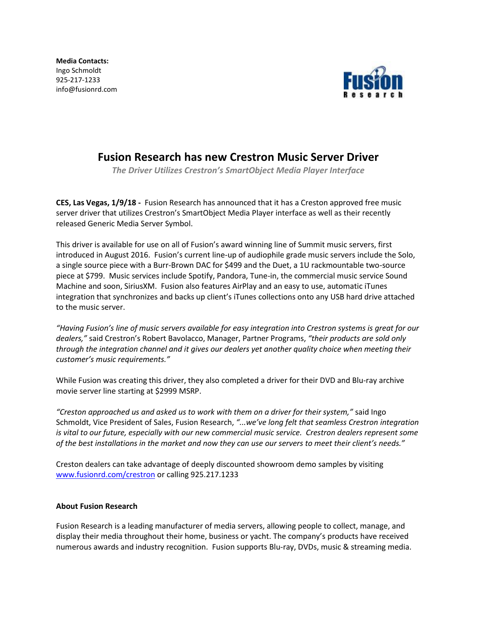**Media Contacts:**  Ingo Schmoldt 925-217-1233 info@fusionrd.com



## **Fusion Research has new Crestron Music Server Driver**

*The Driver Utilizes Crestron's SmartObject Media Player Interface*

**CES, Las Vegas, 1/9/18 -** Fusion Research has announced that it has a Creston approved free music server driver that utilizes Crestron's SmartObject Media Player interface as well as their recently released Generic Media Server Symbol.

This driver is available for use on all of Fusion's award winning line of Summit music servers, first introduced in August 2016. Fusion's current line-up of audiophile grade music servers include the Solo, a single source piece with a Burr-Brown DAC for \$499 and the Duet, a 1U rackmountable two-source piece at \$799. Music services include Spotify, Pandora, Tune-in, the commercial music service Sound Machine and soon, SiriusXM. Fusion also features AirPlay and an easy to use, automatic iTunes integration that synchronizes and backs up client's iTunes collections onto any USB hard drive attached to the music server.

*"Having Fusion's line of music servers available for easy integration into Crestron systems is great for our dealers,"* said Crestron's Robert Bavolacco, Manager, Partner Programs, *"their products are sold only through the integration channel and it gives our dealers yet another quality choice when meeting their customer's music requirements."*

While Fusion was creating this driver, they also completed a driver for their DVD and Blu-ray archive movie server line starting at \$2999 MSRP.

*"Creston approached us and asked us to work with them on a driver for their system,"* said Ingo Schmoldt, Vice President of Sales, Fusion Research, *"...we've long felt that seamless Crestron integration is vital to our future, especially with our new commercial music service. Crestron dealers represent some of the best installations in the market and now they can use our servers to meet their client's needs."*

Creston dealers can take advantage of deeply discounted showroom demo samples by visiting [www.fusionrd.com/crestron](http://www.fusionrd.com/crestron) or calling 925.217.1233

## **About Fusion Research**

Fusion Research is a leading manufacturer of media servers, allowing people to collect, manage, and display their media throughout their home, business or yacht. The company's products have received numerous awards and industry recognition. Fusion supports Blu-ray, DVDs, music & streaming media.